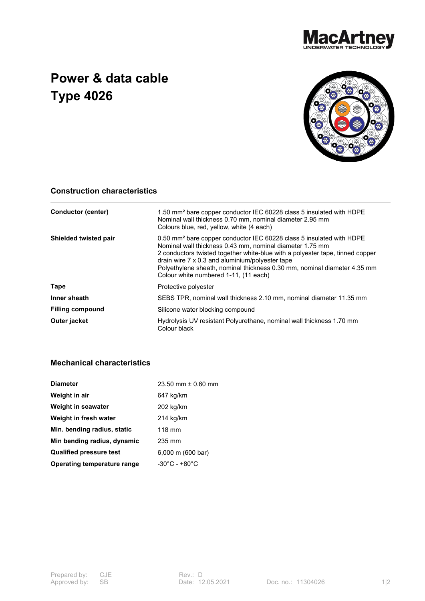

## **Power & data cable Type 4026**



## **Construction characteristics**

| <b>Conductor (center)</b> | 1.50 mm <sup>2</sup> bare copper conductor IEC 60228 class 5 insulated with HDPE<br>Nominal wall thickness 0.70 mm, nominal diameter 2.95 mm<br>Colours blue, red, yellow, white (4 each)                                                                                                                                                                                                             |  |
|---------------------------|-------------------------------------------------------------------------------------------------------------------------------------------------------------------------------------------------------------------------------------------------------------------------------------------------------------------------------------------------------------------------------------------------------|--|
| Shielded twisted pair     | 0.50 mm <sup>2</sup> bare copper conductor IEC 60228 class 5 insulated with HDPE<br>Nominal wall thickness 0.43 mm, nominal diameter 1.75 mm<br>2 conductors twisted together white-blue with a polyester tape, tinned copper<br>drain wire 7 x 0.3 and aluminium/polyester tape<br>Polyethylene sheath, nominal thickness 0.30 mm, nominal diameter 4.35 mm<br>Colour white numbered 1-11, (11 each) |  |
| Tape                      | Protective polyester                                                                                                                                                                                                                                                                                                                                                                                  |  |
| Inner sheath              | SEBS TPR, nominal wall thickness 2.10 mm, nominal diameter 11.35 mm                                                                                                                                                                                                                                                                                                                                   |  |
| <b>Filling compound</b>   | Silicone water blocking compound                                                                                                                                                                                                                                                                                                                                                                      |  |
| Outer jacket              | Hydrolysis UV resistant Polyurethane, nominal wall thickness 1.70 mm<br>Colour black                                                                                                                                                                                                                                                                                                                  |  |

## **Mechanical characteristics**

| <b>Diameter</b>                | 23.50 mm $\pm$ 0.60 mm            |
|--------------------------------|-----------------------------------|
| Weight in air                  | 647 kg/km                         |
| Weight in seawater             | 202 kg/km                         |
| Weight in fresh water          | 214 kg/km                         |
| Min. bending radius, static    | $118 \text{ mm}$                  |
| Min bending radius, dynamic    | 235 mm                            |
| <b>Qualified pressure test</b> | 6,000 m (600 bar)                 |
| Operating temperature range    | $-30^{\circ}$ C - $+80^{\circ}$ C |